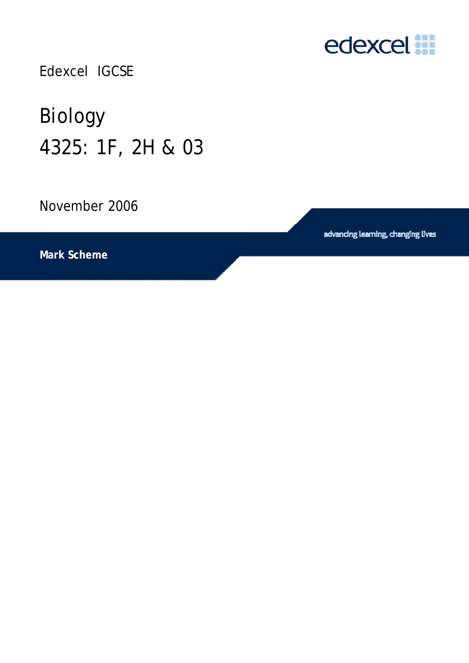

Edexcel IGCSE

# Biology 4325: 1F, 2H & 03

November 2006

advancing learning, changing lives

**Mark Scheme**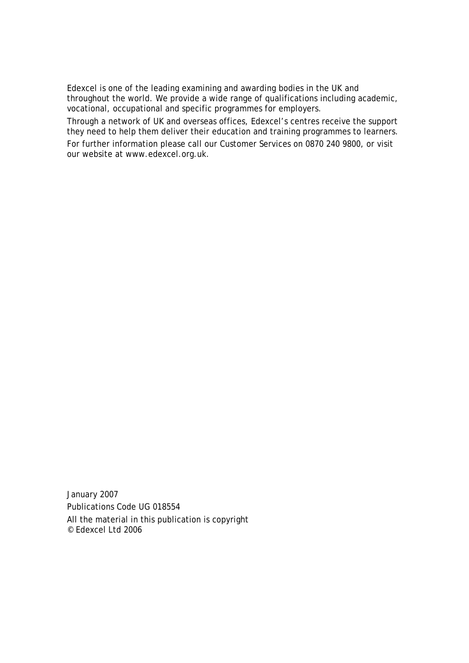Edexcel is one of the leading examining and awarding bodies in the UK and throughout the world. We provide a wide range of qualifications including academic, vocational, occupational and specific programmes for employers.

Through a network of UK and overseas offices, Edexcel's centres receive the support they need to help them deliver their education and training programmes to learners.

For further information please call our Customer Services on 0870 240 9800, or visit our website at www.edexcel.org.uk.

January 2007 Publications Code UG 018554 All the material in this publication is copyright © Edexcel Ltd 2006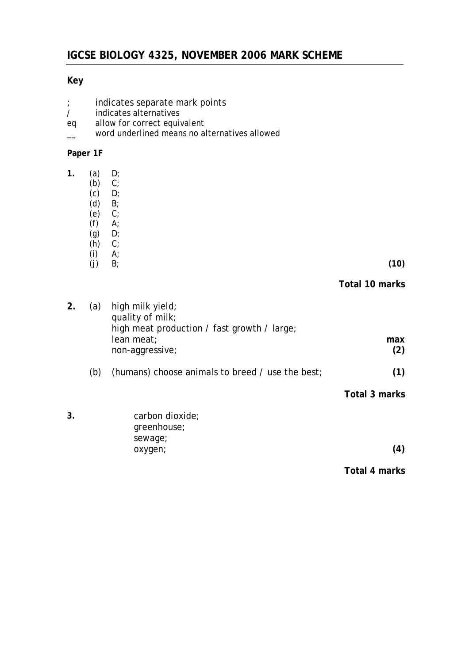## **IGCSE BIOLOGY 4325, NOVEMBER 2006 MARK SCHEME**

#### **Key**

- ; indicates separate mark points
- / indicates alternatives
- eq allow for correct equivalent
- \_\_ word underlined means no alternatives allowed

#### **Paper 1F**

| 1. | (a)<br>(b)<br>(c)<br>(d)<br>(e)<br>(f)<br>(g) | D;<br>$C$ ;<br>D;<br>$B$ ;<br>$C$ ;<br>$A^{\cdot}$<br>D;                                                             |                |
|----|-----------------------------------------------|----------------------------------------------------------------------------------------------------------------------|----------------|
|    | (h)<br>(i)                                    | $C$ ;<br>$A^{\cdot}$                                                                                                 |                |
|    | (j)                                           | B                                                                                                                    | (10)           |
|    |                                               |                                                                                                                      | Total 10 marks |
| 2. | (a)                                           | high milk yield;<br>quality of milk;<br>high meat production / fast growth / large;<br>lean meat;<br>non-aggressive; | max<br>(2)     |
|    | (b)                                           | (humans) choose animals to breed / use the best;                                                                     | (1)            |
|    |                                               |                                                                                                                      | Total 3 marks  |
| 3. |                                               | carbon dioxide;<br>greenhouse;                                                                                       |                |
|    |                                               | sewage;<br>oxygen;                                                                                                   | (4)            |
|    |                                               |                                                                                                                      | Total 4 marks  |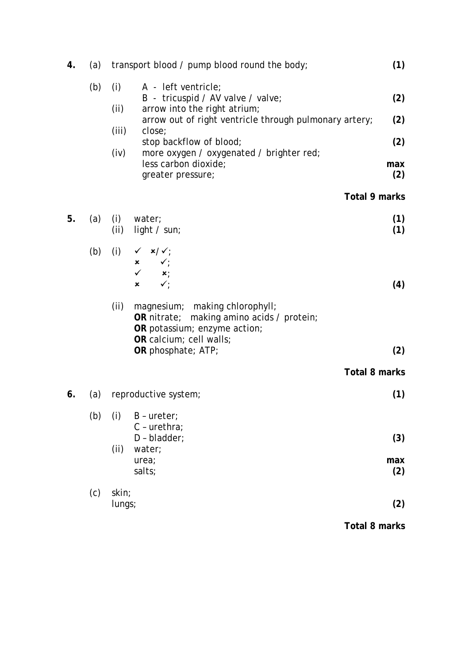| 4. | (a) | transport blood / pump blood round the body;                                                                                                   | (1)           |
|----|-----|------------------------------------------------------------------------------------------------------------------------------------------------|---------------|
|    | (b) | (i)<br>A - left ventricle;<br>B - tricuspid / AV valve / valve;<br>arrow into the right atrium;<br>(ii)                                        | (2)           |
|    |     | arrow out of right ventricle through pulmonary artery;<br>(iii)<br>close;                                                                      | (2)           |
|    |     | stop backflow of blood;<br>(iv)<br>more oxygen / oxygenated / brighter red;                                                                    | (2)           |
|    |     | less carbon dioxide;<br>greater pressure;                                                                                                      | max<br>(2)    |
|    |     |                                                                                                                                                | Total 9 marks |
| 5. | (a) | $(i)$ water;<br>(ii)<br>light $\prime$ sun;                                                                                                    | (1)<br>(1)    |
|    | (b) | (i)<br>$\checkmark$ x/ $\checkmark$ ;<br>$x \quad \checkmark$                                                                                  |               |
|    |     | $\checkmark$ x;<br>$\checkmark$<br>×                                                                                                           | (4)           |
|    |     | (ii)<br>magnesium; making chlorophyll;<br>OR nitrate; making amino acids / protein;<br>OR potassium; enzyme action;<br>OR calcium; cell walls; |               |
|    |     | OR phosphate; ATP;                                                                                                                             | (2)           |
|    |     |                                                                                                                                                | Total 8 marks |
| 6. | (a) | reproductive system;                                                                                                                           | (1)           |
|    | (b) | (i)<br>$B -$ ureter;<br>$C$ - urethra;                                                                                                         |               |
|    |     | $D - bladder;$                                                                                                                                 | (3)           |
|    |     | (ii)<br>water;<br>urea;<br>salts;                                                                                                              | max<br>(2)    |
|    | (c) | skin;<br>lungs;                                                                                                                                | (2)           |
|    |     |                                                                                                                                                |               |
|    |     |                                                                                                                                                | Total 8 marks |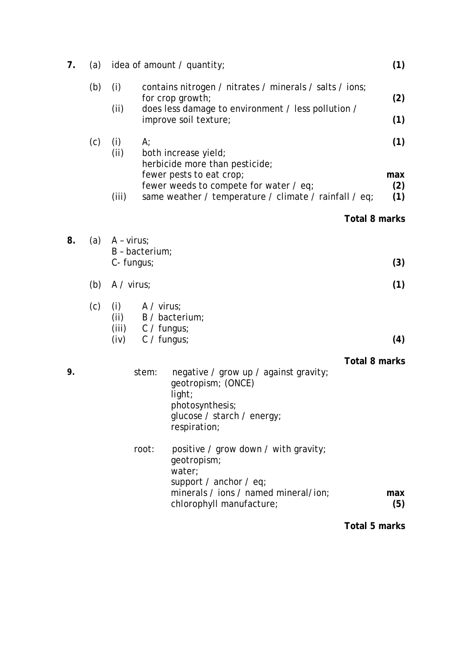| 7. | (a) |                              |                                                        | idea of amount / quantity;                                                                                                                                 | (1)           |  |  |
|----|-----|------------------------------|--------------------------------------------------------|------------------------------------------------------------------------------------------------------------------------------------------------------------|---------------|--|--|
|    | (b) | (i)<br>(ii)                  |                                                        | contains nitrogen / nitrates / minerals / salts / ions;<br>for crop growth;<br>does less damage to environment / less pollution /<br>improve soil texture; | (2)<br>(1)    |  |  |
|    |     |                              |                                                        |                                                                                                                                                            |               |  |  |
|    | (c) | (i)<br>(ii)                  | A;                                                     | both increase yield;<br>herbicide more than pesticide;<br>fewer pests to eat crop;                                                                         | (1)<br>max    |  |  |
|    |     | (iii)                        |                                                        | fewer weeds to compete for water / eq;<br>same weather / temperature / climate / rainfall / eq;                                                            | (2)<br>(1)    |  |  |
|    |     |                              |                                                        |                                                                                                                                                            | Total 8 marks |  |  |
| 8. | (a) | $A - virus;$                 | B - bacterium;                                         |                                                                                                                                                            | (3)           |  |  |
|    |     | C- fungus;                   |                                                        |                                                                                                                                                            |               |  |  |
|    | (b) | $A / \text{virus}$           |                                                        |                                                                                                                                                            |               |  |  |
|    | (c) | (i)<br>(ii)<br>(iii)<br>(iv) | $A / \text{virus}$<br>$C / f$ ungus;<br>$C / f$ ungus; | B / bacterium;                                                                                                                                             | (4)           |  |  |
|    |     |                              |                                                        |                                                                                                                                                            | Total 8 marks |  |  |
| 9. |     |                              | stem:                                                  | negative / grow up / against gravity;<br>geotropism; (ONCE)<br>light;<br>photosynthesis;<br>glucose / starch / energy;<br>respiration;                     |               |  |  |
|    |     |                              | root:                                                  | positive / grow down / with gravity;<br>geotropism;<br>water;<br>support / anchor / $eq$ ;<br>minerals / ions / named mineral/ion;                         | max           |  |  |
|    |     |                              |                                                        | chlorophyll manufacture;                                                                                                                                   | (5)           |  |  |
|    |     |                              |                                                        |                                                                                                                                                            | Total 5 marks |  |  |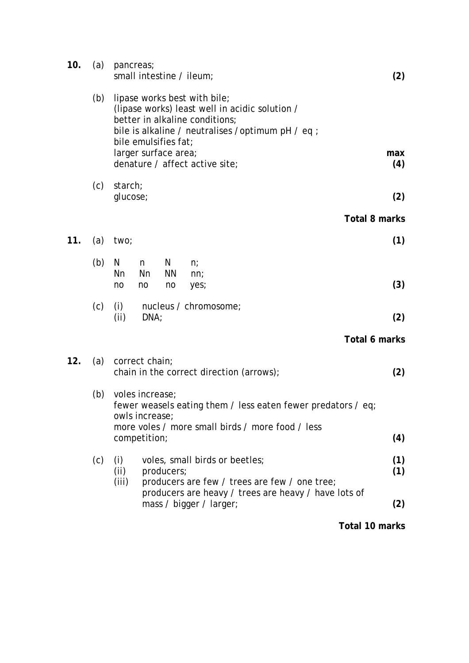| 10. | (a) | pancreas;<br>small intestine / ileum;<br>(2)                                                                                                                                                   |  |  |  |  |  |
|-----|-----|------------------------------------------------------------------------------------------------------------------------------------------------------------------------------------------------|--|--|--|--|--|
|     | (b) | lipase works best with bile;<br>(lipase works) least well in acidic solution /<br>better in alkaline conditions;<br>bile is alkaline / neutralises / optimum pH / eq ;<br>bile emulsifies fat; |  |  |  |  |  |
|     |     | larger surface area;<br>max<br>denature / affect active site;<br>(4)                                                                                                                           |  |  |  |  |  |
|     | (c) | starch;<br>glucose;<br>(2)                                                                                                                                                                     |  |  |  |  |  |
|     |     | <b>Total 8 marks</b>                                                                                                                                                                           |  |  |  |  |  |
| 11. | (a) | (1)<br>two;                                                                                                                                                                                    |  |  |  |  |  |
|     | (b) | N<br>N<br>n<br>n;<br><b>Nn</b><br>Nn<br><b>NN</b><br>nn;<br>(3)<br>no<br>no<br>no<br>yes;                                                                                                      |  |  |  |  |  |
|     | (c) | nucleus / chromosome;<br>(i)<br>(ii)<br>DNA;<br>(2)                                                                                                                                            |  |  |  |  |  |
|     |     | Total 6 marks                                                                                                                                                                                  |  |  |  |  |  |
| 12. | (a) | correct chain;<br>(2)<br>chain in the correct direction (arrows);                                                                                                                              |  |  |  |  |  |
|     | (b) | voles increase;<br>fewer weasels eating them / less eaten fewer predators / eq;<br>owls increase;                                                                                              |  |  |  |  |  |
|     |     | more voles / more small birds / more food / less<br>(4)<br>competition;                                                                                                                        |  |  |  |  |  |
|     | (c) | voles, small birds or beetles;<br>(1)<br>(i)<br>(ii)<br>producers;<br>(1)<br>(iii)<br>producers are few / trees are few / one tree;                                                            |  |  |  |  |  |
|     |     | producers are heavy / trees are heavy / have lots of<br>mass / bigger / larger;<br>(2)                                                                                                         |  |  |  |  |  |
|     |     | Total 10 marks                                                                                                                                                                                 |  |  |  |  |  |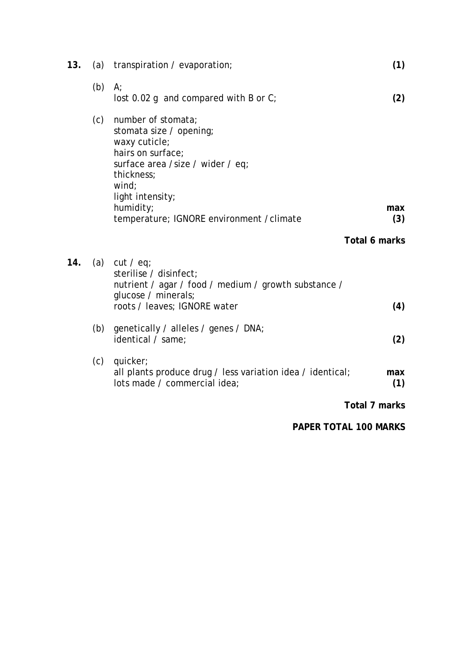| 13. |     | (a) transpiration / evaporation;                                                                                                                                   | (1)           |
|-----|-----|--------------------------------------------------------------------------------------------------------------------------------------------------------------------|---------------|
|     | (b) | $A$ ;<br>lost 0.02 g and compared with B or $C_7$                                                                                                                  | (2)           |
|     | (c) | number of stomata;<br>stomata size / opening;<br>waxy cuticle;<br>hairs on surface;<br>surface area /size / wider / eq;<br>thickness;<br>wind:<br>light intensity; |               |
|     |     | humidity;<br>temperature; IGNORE environment / climate                                                                                                             | max<br>(3)    |
|     |     |                                                                                                                                                                    | Total 6 marks |
| 14. |     | (a) $cut / eq$ ;<br>sterilise / disinfect:<br>nutrient / agar / food / medium / growth substance /<br>glucose / minerals;<br>roots / leaves; IGNORE water          | (4)           |
|     | (b) | genetically / alleles / genes / DNA;<br>identical / same;                                                                                                          | (2)           |
|     | (c) | quicker;<br>all plants produce drug / less variation idea / identical;<br>lots made / commercial idea;                                                             | max<br>(1)    |
|     |     |                                                                                                                                                                    | Total 7 marks |
|     |     | <b>PAPER TOTAL 100 MARKS</b>                                                                                                                                       |               |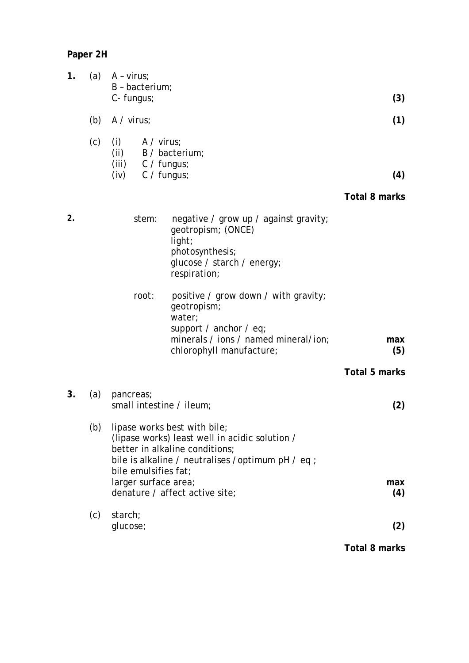**Paper 2H** 

| 1. | (a) | $A - virus$ ;<br>B - bacterium;<br>C- fungus;                                                                                                                                                  | (3)                  |
|----|-----|------------------------------------------------------------------------------------------------------------------------------------------------------------------------------------------------|----------------------|
|    | (b) | $A / \text{virus}$                                                                                                                                                                             | (1)                  |
|    | (c) | $A / \text{virus}$<br>(i)<br>(ii)<br>B / bacterium;<br>(iii)<br>$C / f$ ungus;<br>$C / f$ ungus;<br>(iv)                                                                                       | (4)<br>Total 8 marks |
| 2. |     | stem:<br>negative / grow up / against gravity;<br>geotropism; (ONCE)<br>light;<br>photosynthesis;<br>glucose / starch / energy;<br>respiration;                                                |                      |
|    |     | root:<br>positive / grow down / with gravity;<br>geotropism;<br>water;<br>support / anchor / $eq$ ;<br>minerals / ions / named mineral/ion;<br>chlorophyll manufacture;                        | max<br>(5)           |
|    |     |                                                                                                                                                                                                | <b>Total 5 marks</b> |
| 3. | (a) | pancreas;<br>small intestine / ileum;                                                                                                                                                          | (2)                  |
|    | (b) | lipase works best with bile;<br>(lipase works) least well in acidic solution /<br>better in alkaline conditions;<br>bile is alkaline / neutralises / optimum pH / eq ;<br>bile emulsifies fat; |                      |
|    |     | larger surface area;<br>denature / affect active site;                                                                                                                                         | max<br>(4)           |
|    | (c) | starch;<br>glucose;                                                                                                                                                                            | (2)                  |
|    |     |                                                                                                                                                                                                | Total 8 marks        |

**Total 8 marks**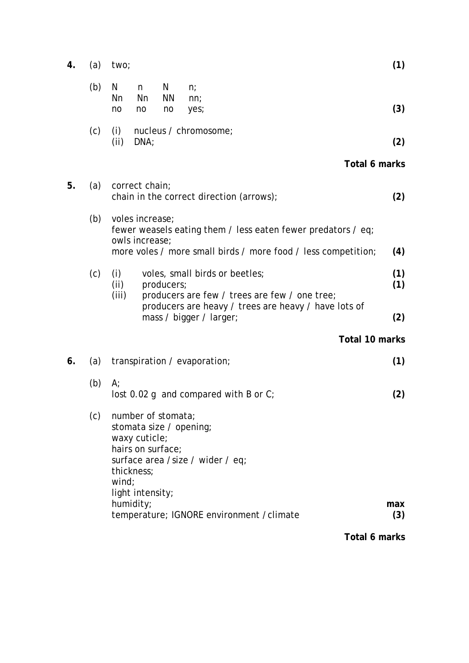| 4. | (a) | two;                                                                                                                                           |                                                                                                                                                                    |                      |                                                                                 | (1) |                |                   |  |  |
|----|-----|------------------------------------------------------------------------------------------------------------------------------------------------|--------------------------------------------------------------------------------------------------------------------------------------------------------------------|----------------------|---------------------------------------------------------------------------------|-----|----------------|-------------------|--|--|
|    | (b) | N<br><b>Nn</b><br>no                                                                                                                           | n<br>Nn<br>no                                                                                                                                                      | N<br><b>NN</b><br>no | $n$ ;<br>nn;<br>yes;                                                            |     |                | (3)               |  |  |
|    | (c) | (i)<br>(ii)                                                                                                                                    | DNA;                                                                                                                                                               |                      | nucleus / chromosome;                                                           |     |                | (2)               |  |  |
|    |     |                                                                                                                                                |                                                                                                                                                                    |                      |                                                                                 |     | Total 6 marks  |                   |  |  |
| 5. | (a) |                                                                                                                                                | correct chain;                                                                                                                                                     |                      | chain in the correct direction (arrows);                                        |     |                | (2)               |  |  |
|    | (b) |                                                                                                                                                | voles increase;<br>fewer weasels eating them / less eaten fewer predators / eq;<br>owls increase:<br>more voles / more small birds / more food / less competition; |                      |                                                                                 |     |                |                   |  |  |
|    | (c) | (i)<br>(ii)<br>(iii)                                                                                                                           |                                                                                                                                                                    | producers;           | voles, small birds or beetles;<br>producers are few / trees are few / one tree; |     |                | (4)<br>(1)<br>(1) |  |  |
|    |     |                                                                                                                                                |                                                                                                                                                                    |                      | producers are heavy / trees are heavy / have lots of<br>mass / bigger / larger; |     |                | (2)               |  |  |
|    |     |                                                                                                                                                |                                                                                                                                                                    |                      |                                                                                 |     | Total 10 marks |                   |  |  |
| 6. | (a) |                                                                                                                                                |                                                                                                                                                                    |                      | transpiration / evaporation;                                                    |     |                | (1)               |  |  |
|    | (b) | A                                                                                                                                              |                                                                                                                                                                    |                      | lost 0.02 g and compared with B or $C$ ;                                        |     |                | (2)               |  |  |
|    | (c) | number of stomata;<br>stomata size / opening;<br>waxy cuticle;<br>hairs on surface;<br>surface area /size / wider / eq;<br>thickness;<br>wind; |                                                                                                                                                                    |                      |                                                                                 |     |                |                   |  |  |
|    |     |                                                                                                                                                | light intensity;<br>humidity;                                                                                                                                      |                      | temperature; IGNORE environment / climate                                       |     |                | max<br>(3)        |  |  |
|    |     |                                                                                                                                                |                                                                                                                                                                    |                      |                                                                                 |     | Total 6 marks  |                   |  |  |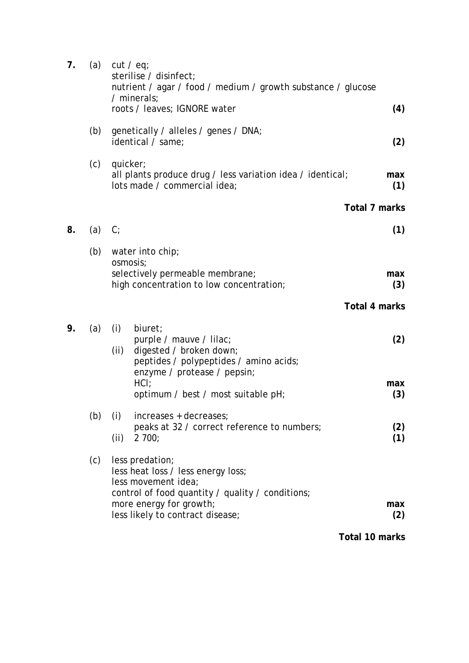| 7. | (a) |             | cut / eq;<br>sterilise / disinfect;<br>nutrient / agar / food / medium / growth substance / glucose<br>$/$ minerals;<br>roots / leaves; IGNORE water        | (4)            |
|----|-----|-------------|-------------------------------------------------------------------------------------------------------------------------------------------------------------|----------------|
|    | (b) |             | genetically / alleles / genes / DNA;<br>identical / same;                                                                                                   | (2)            |
|    | (c) | quicker;    | all plants produce drug / less variation idea / identical;<br>lots made / commercial idea;                                                                  | max<br>(1)     |
|    |     |             |                                                                                                                                                             | Total 7 marks  |
| 8. | (a) | $C_i$       |                                                                                                                                                             | (1)            |
|    | (b) |             | water into chip;                                                                                                                                            |                |
|    |     |             | osmosis;<br>selectively permeable membrane;<br>high concentration to low concentration;                                                                     | max<br>(3)     |
|    |     |             |                                                                                                                                                             | Total 4 marks  |
| 9. | (a) | (i)<br>(ii) | biuret;<br>purple / mauve / lilac;<br>digested / broken down;<br>peptides / polypeptides / amino acids;<br>enzyme / protease / pepsin;                      | (2)            |
|    |     |             | HCI:<br>optimum / best / most suitable pH;                                                                                                                  | max<br>(3)     |
|    | (b) | (i)<br>(ii) | increases + decreases;<br>peaks at 32 / correct reference to numbers;<br>2700;                                                                              | (2)<br>(1)     |
|    | (c) |             | less predation;<br>less heat loss / less energy loss;<br>less movement idea;<br>control of food quantity / quality / conditions;<br>more energy for growth; | max            |
|    |     |             | less likely to contract disease;                                                                                                                            | (2)            |
|    |     |             |                                                                                                                                                             | Total 10 marks |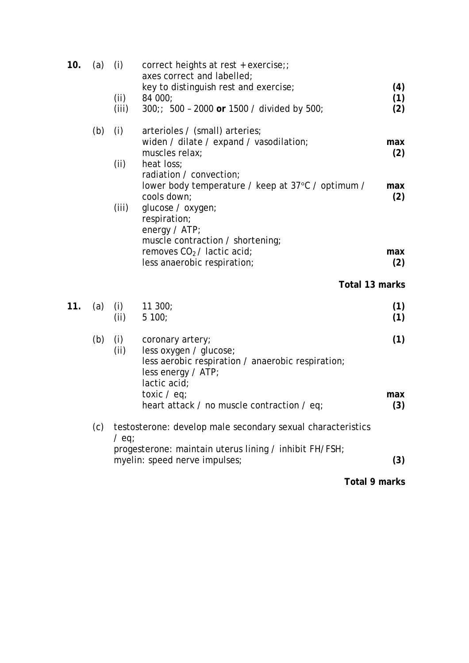| 10. | (a) | (i)        | correct heights at rest + exercise;;<br>axes correct and labelled; |                |
|-----|-----|------------|--------------------------------------------------------------------|----------------|
|     |     |            | key to distinguish rest and exercise;                              | (4)            |
|     |     | (ii)       | 84 000;                                                            | (1)            |
|     |     | (iii)      | 300;; 500 - 2000 or 1500 / divided by 500;                         | (2)            |
|     | (b) | (i)        | arterioles / (small) arteries;                                     |                |
|     |     |            | widen / dilate / expand / vasodilation;                            | max            |
|     |     | (ii)       | muscles relax;<br>heat loss;                                       | (2)            |
|     |     |            | radiation / convection;                                            |                |
|     |     |            | lower body temperature / keep at 37°C / optimum /<br>cools down;   | max<br>(2)     |
|     |     | (iii)      | glucose / oxygen;                                                  |                |
|     |     |            | respiration;                                                       |                |
|     |     |            | energy / ATP;<br>muscle contraction / shortening;                  |                |
|     |     |            | removes $CO2$ / lactic acid;                                       | max            |
|     |     |            | less anaerobic respiration;                                        | (2)            |
|     |     |            |                                                                    | Total 13 marks |
| 11. | (a) | (i)        | 11300;                                                             | (1)            |
|     |     |            |                                                                    |                |
|     |     | (ii)       | 5100;                                                              | (1)            |
|     |     |            |                                                                    |                |
|     | (b) | (i)<br>(i) | coronary artery;<br>less oxygen / glucose;                         | (1)            |
|     |     |            | less aerobic respiration / anaerobic respiration;                  |                |
|     |     |            | $less$ energy / ATP;<br>lactic acid;                               |                |
|     |     |            | toxic / eq;                                                        | max            |
|     |     |            | heart attack / no muscle contraction / eq;                         | (3)            |
|     | (c) |            | testosterone: develop male secondary sexual characteristics        |                |
|     |     | $/$ eq;    | progesterone: maintain uterus lining / inhibit FH/FSH;             |                |
|     |     |            | myelin: speed nerve impulses;                                      | (3)            |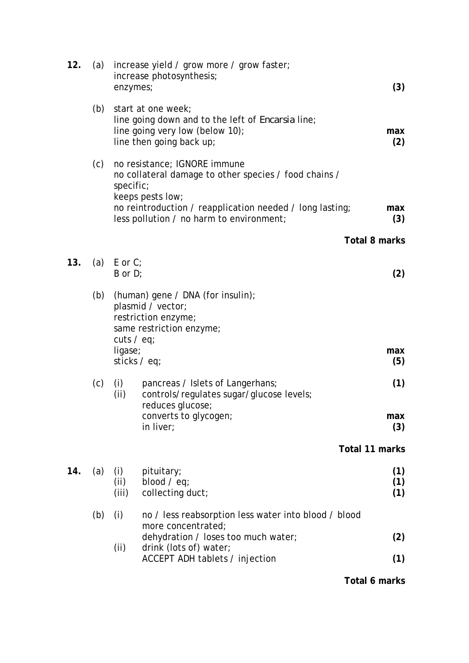| 12. | (a) | enzymes;                         | increase yield / grow more / grow faster;<br>increase photosynthesis;                                                                                                 | (3)               |
|-----|-----|----------------------------------|-----------------------------------------------------------------------------------------------------------------------------------------------------------------------|-------------------|
|     | (b) |                                  | start at one week;<br>line going down and to the left of <i>Encarsia</i> line;<br>line going very low (below 10);<br>line then going back up;                         | max<br>(2)        |
|     | (c) | specific;                        | no resistance; IGNORE immune<br>no collateral damage to other species / food chains /<br>keeps pests low;<br>no reintroduction / reapplication needed / long lasting; | max               |
|     |     |                                  | less pollution / no harm to environment;                                                                                                                              | (3)               |
|     |     |                                  |                                                                                                                                                                       | Total 8 marks     |
| 13. |     | (a) $E$ or $C$ ;<br>$B$ or $D$ ; |                                                                                                                                                                       | (2)               |
|     | (b) | cuts $/$ eq;                     | (human) gene / DNA (for insulin);<br>plasmid / vector;<br>restriction enzyme;<br>same restriction enzyme;                                                             |                   |
|     |     | ligase;<br>sticks / eq;          |                                                                                                                                                                       | max<br>(5)        |
|     | (c) | (i)<br>(ii)                      | pancreas / Islets of Langerhans;<br>controls/regulates sugar/glucose levels;<br>reduces glucose;                                                                      | (1)               |
|     |     |                                  | converts to glycogen;<br>in liver;                                                                                                                                    | max<br>(3)        |
|     |     |                                  |                                                                                                                                                                       | Total 11 marks    |
| 14. | (a) | (i)<br>(ii)<br>(iii)             | pituitary;<br>blood $/$ eq;<br>collecting duct;                                                                                                                       | (1)<br>(1)<br>(1) |
|     | (b) | (i)                              | no / less reabsorption less water into blood / blood<br>more concentrated;                                                                                            |                   |
|     |     | (ii)                             | dehydration / loses too much water;<br>drink (lots of) water;                                                                                                         | (2)               |
|     |     |                                  | ACCEPT ADH tablets / injection                                                                                                                                        | (1)               |

**Total 6 marks**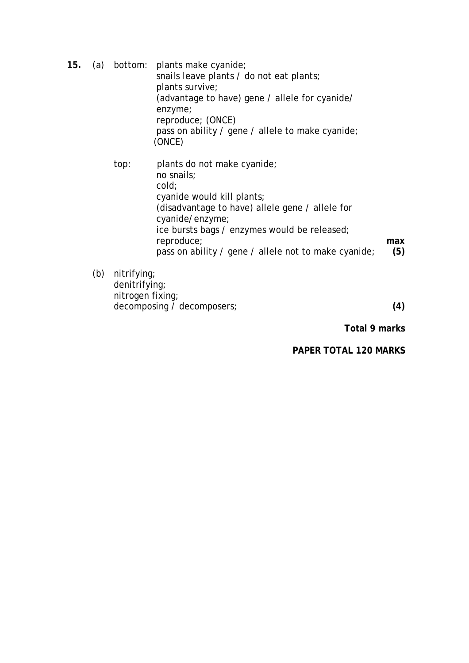**15.** (a) bottom: plants make cyanide; snails leave plants / do not eat plants; plants survive; (advantage to have) gene / allele for cyanide/ enzyme; reproduce; (ONCE) pass on ability / gene / allele to make cyanide; (ONCE) top: plants do not make cyanide; no snails;

 cold; cyanide would kill plants; (disadvantage to have) allele gene / allele for cyanide/enzyme; ice bursts bags / enzymes would be released; reproduce; pass on ability / gene / allele not to make cyanide; **max (5)** 

(b) nitrifying; denitrifying; nitrogen fixing; decomposing / decomposers; **(4)** 

**Total 9 marks** 

**PAPER TOTAL 120 MARKS**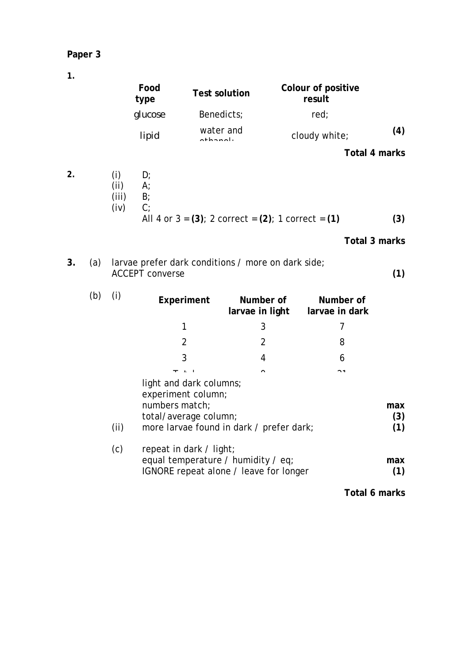### **Paper 3**

**1.** 

|    |     |                              | Food<br>type               |                                               | <b>Test solution</b>         | result                                                     | Colour of positive          |               |
|----|-----|------------------------------|----------------------------|-----------------------------------------------|------------------------------|------------------------------------------------------------|-----------------------------|---------------|
|    |     |                              | glucose                    |                                               | Benedicts;                   |                                                            | red;                        |               |
|    |     |                              | lipid                      | othonol.                                      | water and                    |                                                            | cloudy white;               | (4)           |
|    |     |                              |                            |                                               |                              |                                                            |                             | Total 4 marks |
| 2. |     | (i)<br>(ii)<br>(iii)<br>(iv) | D;<br>A;<br>$B$ ;<br>$C$ ; |                                               |                              |                                                            |                             |               |
|    |     |                              |                            |                                               |                              | All 4 or $3 = (3)$ ; 2 correct = $(2)$ ; 1 correct = $(1)$ |                             | (3)           |
|    |     |                              |                            |                                               |                              |                                                            |                             | Total 3 marks |
| 3. | (a) |                              | <b>ACCEPT converse</b>     |                                               |                              | larvae prefer dark conditions / more on dark side;         |                             | (1)           |
|    | (b) | (i)                          |                            | Experiment                                    | Number of<br>larvae in light |                                                            | Number of<br>larvae in dark |               |
|    |     |                              |                            | 1                                             | 3                            |                                                            | $\overline{7}$              |               |
|    |     |                              |                            | $\overline{2}$                                | $\overline{2}$               |                                                            | 8                           |               |
|    |     |                              |                            | 3                                             | 4                            |                                                            | 6                           |               |
|    |     |                              |                            | $T = 1 + 1$                                   | $\overline{ }$               |                                                            | $\sim$                      |               |
|    |     |                              | numbers match;             | light and dark columns;<br>experiment column; |                              |                                                            |                             | max           |

(ii) more larvae found in dark / prefer dark; **(1)** 

 $(3)$ <br> $(1)$ 

**max (1)** 

**Total 6 marks** 

total/average column;

equal temperature / humidity / eq; IGNORE repeat alone / leave for longer

(c) repeat in dark / light;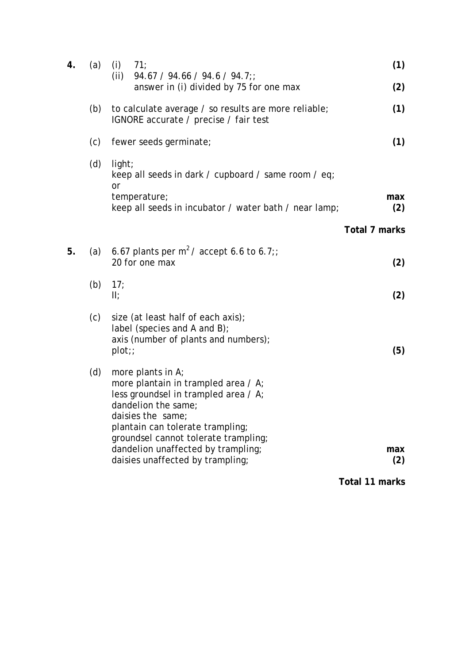| 4. | (a) | (i)<br>(ii)             | 71;                                                                                                                                                                                                                                                               | (1)            |
|----|-----|-------------------------|-------------------------------------------------------------------------------------------------------------------------------------------------------------------------------------------------------------------------------------------------------------------|----------------|
|    |     |                         | $94.67 / 94.66 / 94.6 / 94.7$ ;<br>answer in (i) divided by 75 for one max                                                                                                                                                                                        | (2)            |
|    | (b) |                         | to calculate average / so results are more reliable;<br>IGNORE accurate / precise / fair test                                                                                                                                                                     | (1)            |
|    | (c) |                         | fewer seeds germinate;                                                                                                                                                                                                                                            | (1)            |
|    | (d) | light;<br><sub>or</sub> | keep all seeds in dark / cupboard / same room / eq;                                                                                                                                                                                                               |                |
|    |     |                         | temperature;<br>keep all seeds in incubator / water bath / near lamp;                                                                                                                                                                                             | max<br>(2)     |
|    |     |                         |                                                                                                                                                                                                                                                                   | Total 7 marks  |
| 5. | (a) |                         | 6.67 plants per $m^2$ / accept 6.6 to 6.7;<br>20 for one max                                                                                                                                                                                                      | (2)            |
|    | (b) | 17;<br>$\mathbf{II}$    |                                                                                                                                                                                                                                                                   | (2)            |
|    | (c) | plot;                   | size (at least half of each axis);<br>label (species and A and B);<br>axis (number of plants and numbers);                                                                                                                                                        | (5)            |
|    | (d) |                         | more plants in $A$ ;<br>more plantain in trampled area / A;<br>less groundsel in trampled area / A;<br>dandelion the same;<br>daisies the same;<br>plantain can tolerate trampling;<br>groundsel cannot tolerate trampling;<br>dandelion unaffected by trampling; | max            |
|    |     |                         | daisies unaffected by trampling;                                                                                                                                                                                                                                  | (2)            |
|    |     |                         |                                                                                                                                                                                                                                                                   | Total 11 marks |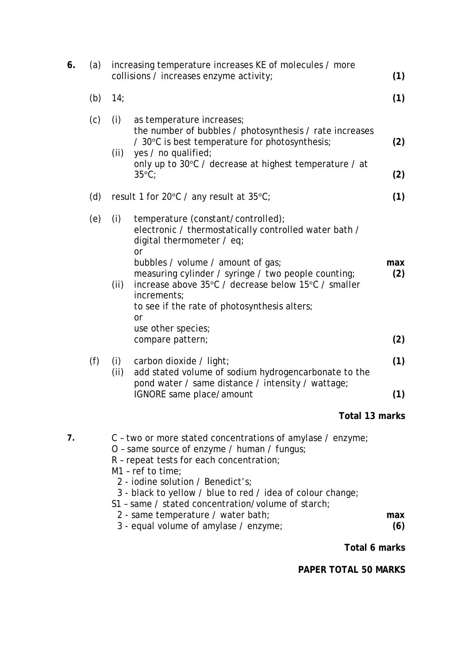| 6. | (a) |                                                                                                                                                                                                                                                                                                                                                                                                                      | increasing temperature increases KE of molecules / more<br>collisions / increases enzyme activity;                                                                                                                              | (1)        |
|----|-----|----------------------------------------------------------------------------------------------------------------------------------------------------------------------------------------------------------------------------------------------------------------------------------------------------------------------------------------------------------------------------------------------------------------------|---------------------------------------------------------------------------------------------------------------------------------------------------------------------------------------------------------------------------------|------------|
|    | (b) | 14;                                                                                                                                                                                                                                                                                                                                                                                                                  |                                                                                                                                                                                                                                 | (1)        |
|    | (c) | (i)<br>(ii)                                                                                                                                                                                                                                                                                                                                                                                                          | as temperature increases;<br>the number of bubbles / photosynthesis / rate increases<br>/ 30°C is best temperature for photosynthesis;<br>yes / no qualified;                                                                   | (2)        |
|    |     |                                                                                                                                                                                                                                                                                                                                                                                                                      | only up to 30°C / decrease at highest temperature / at<br>$35^{\circ}$ C;                                                                                                                                                       | (2)        |
|    | (d) | result 1 for 20 $\degree$ C / any result at 35 $\degree$ C;                                                                                                                                                                                                                                                                                                                                                          |                                                                                                                                                                                                                                 | (1)        |
|    | (e) | (i)                                                                                                                                                                                                                                                                                                                                                                                                                  | temperature (constant/controlled);<br>electronic / thermostatically controlled water bath /<br>digital thermometer / eq;<br><sub>or</sub>                                                                                       |            |
|    |     | (ii)                                                                                                                                                                                                                                                                                                                                                                                                                 | bubbles / volume / amount of gas;<br>measuring cylinder / syringe / two people counting;<br>increase above 35°C / decrease below 15°C / smaller<br>increments;<br>to see if the rate of photosynthesis alters;<br><sub>or</sub> | max<br>(2) |
|    |     |                                                                                                                                                                                                                                                                                                                                                                                                                      | use other species;<br>compare pattern;                                                                                                                                                                                          | (2)        |
|    | (f) | (i)<br>(ii)                                                                                                                                                                                                                                                                                                                                                                                                          | carbon dioxide / light;<br>add stated volume of sodium hydrogencarbonate to the                                                                                                                                                 | (1)        |
|    |     |                                                                                                                                                                                                                                                                                                                                                                                                                      | pond water / same distance / intensity / wattage;<br>IGNORE same place/amount                                                                                                                                                   | (1)        |
|    |     |                                                                                                                                                                                                                                                                                                                                                                                                                      | Total 13 marks                                                                                                                                                                                                                  |            |
| 7. |     | C - two or more stated concentrations of amylase / enzyme;<br>O - same source of enzyme / human / fungus;<br>R - repeat tests for each concentration;<br>$M1$ - ref to time;<br>2 - iodine solution / Benedict's;<br>3 - black to yellow / blue to red / idea of colour change;<br>S1 - same / stated concentration/volume of starch;<br>2 - same temperature / water bath;<br>3 - equal volume of amylase / enzyme; |                                                                                                                                                                                                                                 |            |
|    |     |                                                                                                                                                                                                                                                                                                                                                                                                                      |                                                                                                                                                                                                                                 | max<br>(6) |
|    |     |                                                                                                                                                                                                                                                                                                                                                                                                                      | Total 6 marks                                                                                                                                                                                                                   |            |
|    |     |                                                                                                                                                                                                                                                                                                                                                                                                                      |                                                                                                                                                                                                                                 |            |

**PAPER TOTAL 50 MARKS**